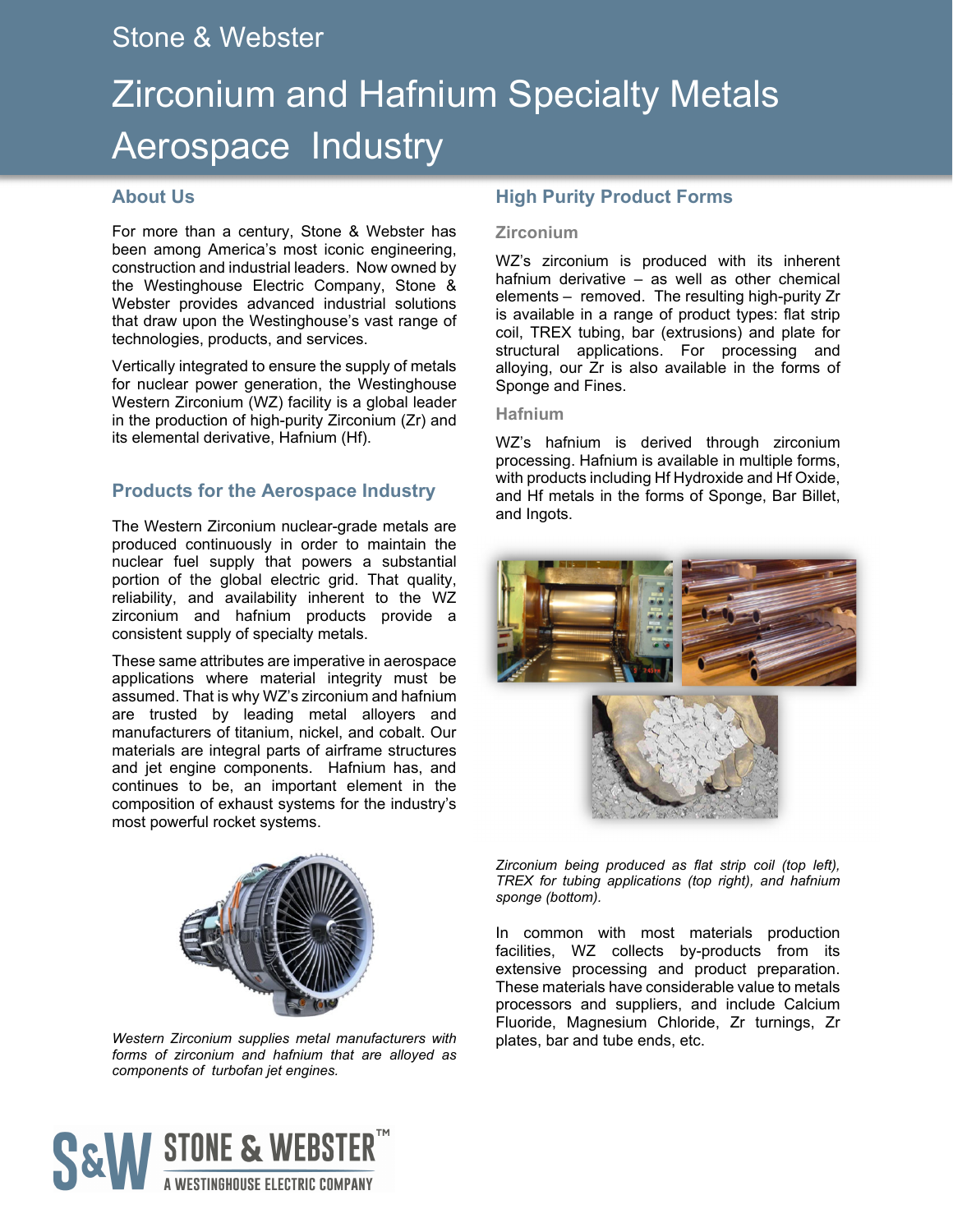# Stone & Webster

# Zirconium and Hafnium Specialty Metals Aerospace Industry

## **About Us**

For more than a century, Stone & Webster has been among America's most iconic engineering, construction and industrial leaders. Now owned by the Westinghouse Electric Company, Stone & Webster provides advanced industrial solutions that draw upon the Westinghouse's vast range of technologies, products, and services.

Vertically integrated to ensure the supply of metals for nuclear power generation, the Westinghouse Western Zirconium (WZ) facility is a global leader in the production of high-purity Zirconium (Zr) and its elemental derivative, Hafnium (Hf).

# **Products for the Aerospace Industry**

The Western Zirconium nuclear-grade metals are produced continuously in order to maintain the nuclear fuel supply that powers a substantial portion of the global electric grid. That quality, reliability, and availability inherent to the WZ zirconium and hafnium products provide a consistent supply of specialty metals.

These same attributes are imperative in aerospace applications where material integrity must be assumed. That is why WZ's zirconium and hafnium are trusted by leading metal alloyers and manufacturers of titanium, nickel, and cobalt. Our materials are integral parts of airframe structures and jet engine components. Hafnium has, and continues to be, an important element in the composition of exhaust systems for the industry's most powerful rocket systems.



*Western Zirconium supplies metal manufacturers with forms of zirconium and hafnium that are alloyed as components of turbofan jet engines.* 

# **High Purity Product Forms**

#### **Zirconium**

WZ's zirconium is produced with its inherent hafnium derivative – as well as other chemical elements – removed. The resulting high-purity Zr is available in a range of product types: flat strip coil, TREX tubing, bar (extrusions) and plate for structural applications. For processing and alloying, our Zr is also available in the forms of Sponge and Fines.

#### **Hafnium**

WZ's hafnium is derived through zirconium processing. Hafnium is available in multiple forms, with products including Hf Hydroxide and Hf Oxide, and Hf metals in the forms of Sponge, Bar Billet, and Ingots.



*Zirconium being produced as flat strip coil (top left), TREX for tubing applications (top right), and hafnium sponge (bottom).* 

In common with most materials production facilities, WZ collects by-products from its extensive processing and product preparation. These materials have considerable value to metals processors and suppliers, and include Calcium Fluoride, Magnesium Chloride, Zr turnings, Zr plates, bar and tube ends, etc.